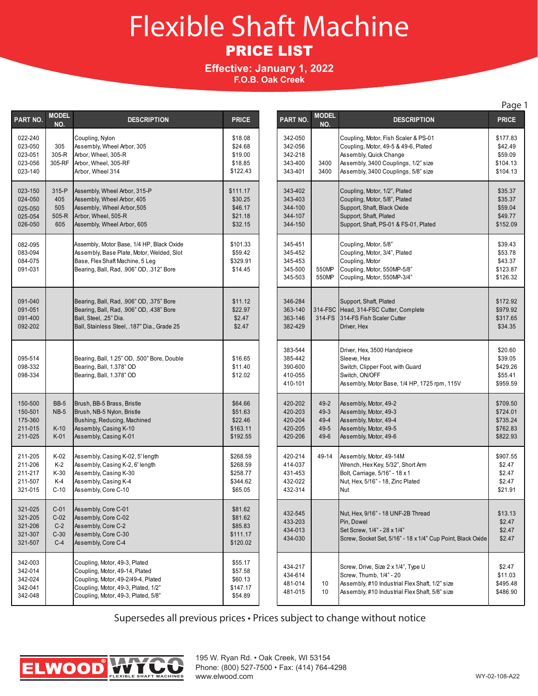## Flexible Shaft Machine PRICE LIST

## **Effective: January 1, 2022 F.O.B. Oak Creek**

| PART NO.                                            | <b>MODEL</b><br>NO.                            | <b>DESCRIPTION</b>                                                                                                                        | <b>PRICE</b>                                          |
|-----------------------------------------------------|------------------------------------------------|-------------------------------------------------------------------------------------------------------------------------------------------|-------------------------------------------------------|
| 022-240<br>023-050<br>023-051<br>023-056<br>023-140 | 305<br>305-R<br>305-RF                         | Coupling, Nylon<br>Assembly, Wheel Arbor, 305<br>Arbor, Wheel, 305-R<br>Arbor, Wheel, 305-RF<br>Arbor, Wheel 314                          | \$18.08<br>\$24.68<br>\$19.00<br>\$18.85<br>\$122.43  |
| 023-150                                             | 315-P                                          | Assembly, Wheel Arbor, 315-P                                                                                                              | \$111.17                                              |
| 024-050                                             | 405                                            | Assembly, Wheel Arbor, 405                                                                                                                | \$30.25                                               |
| 025-050                                             | 505                                            | Assembly, Wheel Arbor, 505                                                                                                                | \$46.17                                               |
| 025-054                                             | $505-R$                                        | Arbor, Wheel, 505-R                                                                                                                       | \$21.18                                               |
| 026-050                                             | 605                                            | Assembly, Wheel Arbor, 605                                                                                                                | \$32.15                                               |
| 082-095                                             |                                                | Assembly, Motor Base, 1/4 HP, Black Oxide                                                                                                 | \$101.33                                              |
| 083-094                                             |                                                | Assembly, Base Plate, Motor, Welded, Slot                                                                                                 | \$59.42                                               |
| 084-075                                             |                                                | Base, Flex Shaft Machine, 5 Leg                                                                                                           | \$329.91                                              |
| 091-031                                             |                                                | Bearing, Ball, Rad, .906" OD, .312" Bore                                                                                                  | \$14.45                                               |
| 091-040                                             |                                                | Bearing, Ball, Rad, .906" OD, .375" Bore                                                                                                  | \$11.12                                               |
| 091-051                                             |                                                | Bearing, Ball, Rad, .906" OD, .438" Bore                                                                                                  | \$22.97                                               |
| 091-400                                             |                                                | Ball, Steel, .25" Dia.                                                                                                                    | \$2.47                                                |
| 092-202                                             |                                                | Ball, Stainless Steel, .187" Dia., Grade 25                                                                                               | \$2.47                                                |
| 095-514                                             |                                                | Bearing, Ball, 1.25" OD, .500" Bore, Double                                                                                               | \$16.65                                               |
| 098-332                                             |                                                | Bearing, Ball, 1.378" OD                                                                                                                  | \$11.40                                               |
| 098-334                                             |                                                | Bearing, Ball, 1.378" OD                                                                                                                  | \$12.02                                               |
| 150-500<br>150-501<br>175-360<br>211-015<br>211-025 | <b>BB-5</b><br><b>NB-5</b><br>$K-10$<br>$K-01$ | Brush, BB-5 Brass, Bristle<br>Brush, NB-5 Nylon, Bristle<br>Bushing, Reducing, Machined<br>Assembly, Casing K-10<br>Assembly, Casing K-01 | \$64.66<br>\$51.63<br>\$22.46<br>\$163.11<br>\$192.55 |
| 211-205                                             | K-02                                           | Assembly, Casing K-02, 5' length                                                                                                          | \$268.59                                              |
| 211-206                                             | K-2                                            | Assembly, Casing K-2, 6' length                                                                                                           | \$268.59                                              |
| 211-217                                             | $K-30$                                         | Assembly, Casing K-30                                                                                                                     | \$258.77                                              |
| 211-507                                             | K-4                                            | Assembly, Casing K-4                                                                                                                      | \$344.62                                              |
| 321-015                                             | $C-10$                                         | Assembly, Core C-10                                                                                                                       | \$65.05                                               |
| 321-025                                             | $C-01$                                         | Assembly, Core C-01                                                                                                                       | \$81.62                                               |
| 321-205                                             | $C-02$                                         | Assembly, Core C-02                                                                                                                       | \$81.62                                               |
| 321-206                                             | $C-2$                                          | Assembly, Core C-2                                                                                                                        | \$85.83                                               |
| 321-307                                             | $C-30$                                         | Assembly, Core C-30                                                                                                                       | \$111.17                                              |
| 321-507                                             | $C-4$                                          | Assembly, Core C-4                                                                                                                        | \$120.02                                              |
| 342-003                                             |                                                | Coupling, Motor, 49-3, Plated                                                                                                             | \$55.17                                               |
| 342-014                                             |                                                | Coupling, Motor, 49-14, Plated                                                                                                            | \$57.58                                               |
| 342-024                                             |                                                | Coupling, Motor, 49-2/49-4, Plated                                                                                                        | \$60.13                                               |
| 342-041                                             |                                                | Coupling, Motor, 49-3, Plated, 1/2"                                                                                                       | \$147.17                                              |
| 342-048                                             |                                                | Coupling, Motor, 49-3, Plated, 5/8"                                                                                                       | \$54.89                                               |

|                                                     |                                                  |                                                                                                                                                                                      | Page 1                                                   |
|-----------------------------------------------------|--------------------------------------------------|--------------------------------------------------------------------------------------------------------------------------------------------------------------------------------------|----------------------------------------------------------|
| PART NO.                                            | <b>MODEL</b><br>NO.                              | <b>DESCRIPTION</b>                                                                                                                                                                   | <b>PRICE</b>                                             |
| 342-050<br>342-056<br>342-218<br>343-400<br>343-401 | 3400<br>3400                                     | Coupling, Motor, Fish Scaler & PS-01<br>Coupling, Motor, 49-5 & 49-6, Plated<br>Assembly, Quick Change<br>Assembly, 3400 Couplings, 1/2" size<br>Assembly, 3400 Couplings, 5/8" size | \$177.83<br>\$42.49<br>\$59.09<br>\$104.13<br>\$104.13   |
| 343-402<br>343-403<br>344-100<br>344-107<br>344-150 |                                                  | Coupling, Motor, 1/2", Plated<br>Coupling, Motor, 5/8", Plated<br>Support, Shaft, Black Oxide<br>Support, Shaft, Plated<br>Support, Shaft, PS-01 & FS-01, Plated                     | \$35.37<br>\$35.37<br>\$59.04<br>\$49.77<br>\$152.09     |
| 345-451<br>345-452<br>345-453<br>345-500<br>345-503 | 550MP<br>550MP                                   | Coupling, Motor, 5/8"<br>Coupling, Motor, 3/4", Plated<br>Coupling, Motor<br>Coupling, Motor, 550MP-5/8"<br>Coupling, Motor, 550MP-3/4"                                              | \$39.43<br>\$53.78<br>\$43.37<br>\$123.87<br>\$126.32    |
| 346-284<br>363-140<br>363-146<br>382-429            | 314-FSC<br>314-FS                                | Support, Shaft, Plated<br>Head, 314-FSC Cutter, Complete<br>314-FS Fish Scaler Cutter<br>Driver, Hex                                                                                 | \$172.92<br>\$979.92<br>\$317.65<br>\$34.35              |
| 383-544<br>385-442<br>390-600<br>410-055<br>410-101 |                                                  | Driver, Hex, 3500 Handpiece<br>Sleeve, Hex<br>Switch, Clipper Foot, with Guard<br>Switch, ON/OFF<br>Assembly, Motor Base, 1/4 HP, 1725 rpm, 115V                                     | \$20.60<br>\$39.05<br>\$429.26<br>\$55.41<br>\$959.59    |
| 420-202<br>420-203<br>420-204<br>420-205<br>420-206 | $49 - 2$<br>$49-3$<br>$49 - 4$<br>49-5<br>$49-6$ | Assembly, Motor, 49-2<br>Assembly, Motor, 49-3<br>Assembly, Motor, 49-4<br>Assembly, Motor, 49-5<br>Assembly, Motor, 49-6                                                            | \$709.50<br>\$724.01<br>\$735.24<br>\$762.83<br>\$822.93 |
| 420-214<br>414-037<br>431-453<br>432-022<br>432-314 | 49-14                                            | Assembly, Motor, 49-14M<br>Wrench, Hex Key, 5/32", Short Arm<br>Bolt, Carriage, 5/16" - 18 x 1<br>Nut, Hex, 5/16" - 18, Zinc Plated<br>Nut                                           | \$907.55<br>\$2.47<br>\$2.47<br>\$2.47<br>\$21.91        |
| 432-545<br>433-203<br>434-013<br>434-030            |                                                  | Nut, Hex, 9/16" - 18 UNF-2B Thread<br>Pin, Dowel<br>Set Screw, 1/4" - 28 x 1/4"<br>Screw, Socket Set, 5/16" - 18 x 1/4" Cup Point, Black Oxide                                       | \$13.13<br>\$2.47<br>\$2.47<br>\$2.47                    |
| 434-217<br>434-614<br>481-014<br>481-015            | 10<br>10                                         | Screw, Drive, Size 2 x 1/4", Type U<br>Screw, Thumb, 1/4" - 20<br>Assembly, #10 Industrial Flex Shaft, 1/2" size<br>Assembly, #10 Industrial Flex Shaft, 5/8" size                   | \$2.47<br>\$11.03<br>\$495.48<br>\$486.90                |

Supersedes all previous prices • Prices subject to change without notice



195 W. Ryan Rd. • Oak Creek, WI 53154 Phone: (800) 527-7500 • Fax: (414) 764-4298<br>www.elwood.com